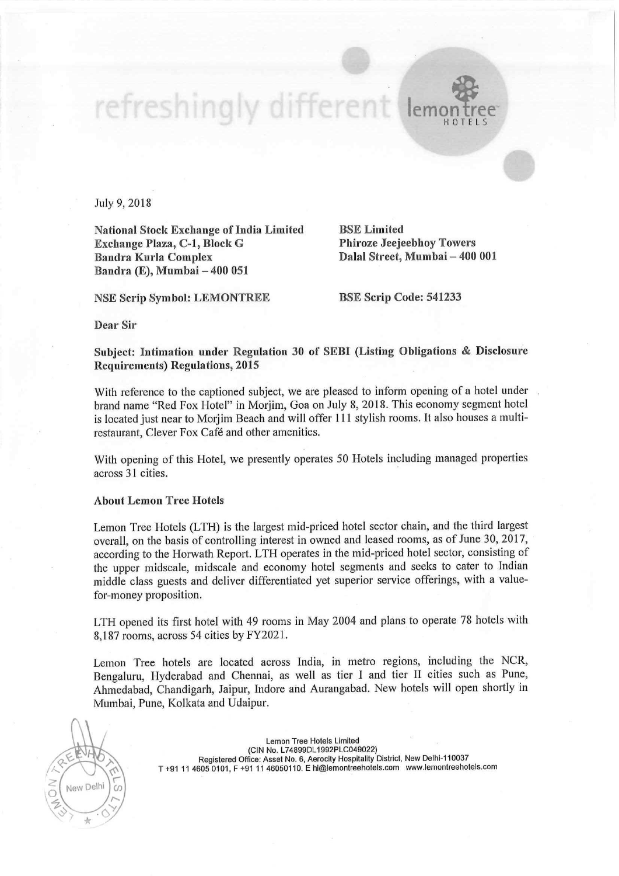## refreshingly different lem H O T E L S

July 9, 2018

National Stock Exchange of India Limited<br> **Exchange Plaza, C-1, Block G** Phiroze Jeejeebhoy Towers Exchange Plaza, C-1, Block G Bandra Kurla Complex Bandra (E), Mumbai — 400 051

NSE Scrip Symbol: LEMONTREE BSE Scrip Code: <sup>541233</sup>

Dalal Street, Mumbai - 400 001

Dear Sir

Subject: lntimation under Regulation <sup>30</sup> of SEBI (Listing Obligations & Disclosure Requirements) Regulations, 2015

With reference to the captioned subject, we are pleased to inform opening of <sup>a</sup> hotel under brand name "Red Fox Hotel" in Morjim, Goa on July 8, 2018. This economy segment hotel is located just near to Morjim Beach and will offer <sup>1</sup> ll stylish rooms. It also houses <sup>a</sup> multirestaurant, Clever Fox Café and other amenities.

With opening of this Hotel, we presently operates <sup>50</sup> Hotels including managed properties across 31 cities.

## About Lemon Tree Hotels

Lemon Tree Hotels (LTH) is the largest mid-priced hotel sector chain, and the third largest overall, on the basis of controlling interest in owned and leased rooms, as of June 30, 2017, according to the Horwath Report. LTH operates in the mid-priced hotel sector, consisting of the upper midscale, midscale and economy hotel segments and seeks to cater to Indian middle class guests and deliver differentiated yet superior service offerings, with <sup>a</sup> valuefor—money proposition.

LTH opened its first hotel with <sup>49</sup> rooms in May <sup>2004</sup> and plans to operate <sup>78</sup> hotels with 8,187 rooms, across 54 cities by FY2021.

Lemon Tree hotels are located across India, in metro regions, including the NCR, Bengaluru, Hyderabad and Chennai, as well as tier <sup>1</sup> and tier <sup>11</sup> cities such as Pune, Ahmedabad, Chandigarh, Jaipur, Indore and Aurangabad. New hotels will open shortly in Mumbai, Pune, Kolkata and Udaipur.



Lemon Tree Hotels Limited (CIN No. L74899DL1992PLCO49022) Registered Office: Asset No. 6. Aerocity Hospitality District, New Delhi-110037 T +91 <sup>11</sup> 4605 0101. <sup>F</sup> +91 <sup>11</sup> 46050110. <sup>E</sup> hi@lemonlreehotels.com www.|emontreehotels.eom